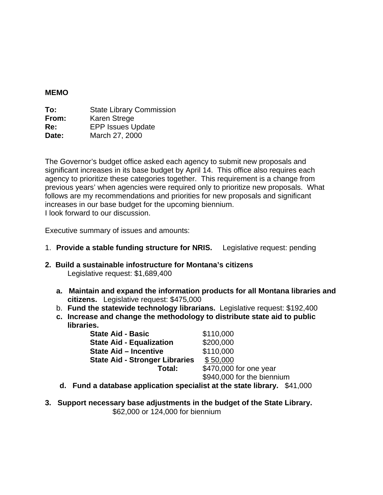#### **MEMO**

| To:   | <b>State Library Commission</b> |
|-------|---------------------------------|
| From: | Karen Strege                    |
| Re:   | <b>EPP Issues Update</b>        |
| Date: | March 27, 2000                  |

The Governor's budget office asked each agency to submit new proposals and significant increases in its base budget by April 14. This office also requires each agency to prioritize these categories together. This requirement is a change from previous years' when agencies were required only to prioritize new proposals. What follows are my recommendations and priorities for new proposals and significant increases in our base budget for the upcoming biennium. I look forward to our discussion.

Executive summary of issues and amounts:

- 1. **Provide a stable funding structure for NRIS.** Legislative request: pending
- **2. Build a sustainable infostructure for Montana's citizens**  Legislative request: \$1,689,400
	- **a. Maintain and expand the information products for all Montana libraries and citizens.** Legislative request: \$475,000
	- b. **Fund the statewide technology librarians.** Legislative request: \$192,400
	- **c. Increase and change the methodology to distribute state aid to public libraries.**

| <b>State Aid - Basic</b>              | \$110,000                  |
|---------------------------------------|----------------------------|
| <b>State Aid - Equalization</b>       | \$200,000                  |
| <b>State Aid - Incentive</b>          | \$110,000                  |
| <b>State Aid - Stronger Libraries</b> | \$50,000                   |
| Total:                                | \$470,000 for one year     |
|                                       | \$940,000 for the biennium |

- **d. Fund a database application specialist at the state library.** \$41,000
- **3. Support necessary base adjustments in the budget of the State Library.**  \$62,000 or 124,000 for biennium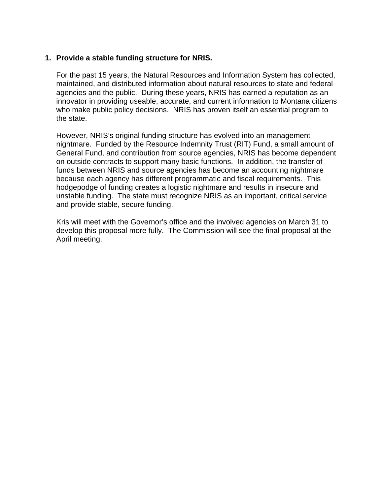### **1. Provide a stable funding structure for NRIS.**

For the past 15 years, the Natural Resources and Information System has collected, maintained, and distributed information about natural resources to state and federal agencies and the public. During these years, NRIS has earned a reputation as an innovator in providing useable, accurate, and current information to Montana citizens who make public policy decisions. NRIS has proven itself an essential program to the state.

However, NRIS's original funding structure has evolved into an management nightmare. Funded by the Resource Indemnity Trust (RIT) Fund, a small amount of General Fund, and contribution from source agencies, NRIS has become dependent on outside contracts to support many basic functions. In addition, the transfer of funds between NRIS and source agencies has become an accounting nightmare because each agency has different programmatic and fiscal requirements. This hodgepodge of funding creates a logistic nightmare and results in insecure and unstable funding. The state must recognize NRIS as an important, critical service and provide stable, secure funding.

Kris will meet with the Governor's office and the involved agencies on March 31 to develop this proposal more fully. The Commission will see the final proposal at the April meeting.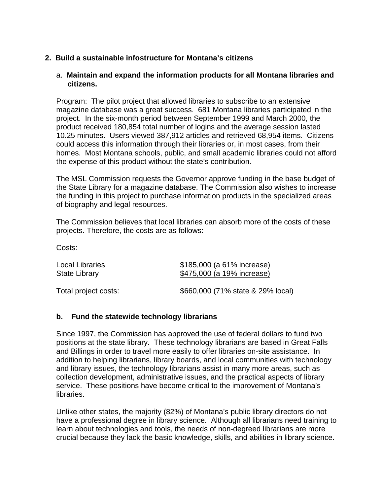## **2. Build a sustainable infostructure for Montana's citizens**

#### a. **Maintain and expand the information products for all Montana libraries and citizens.**

Program: The pilot project that allowed libraries to subscribe to an extensive magazine database was a great success. 681 Montana libraries participated in the project. In the six-month period between September 1999 and March 2000, the product received 180,854 total number of logins and the average session lasted 10.25 minutes. Users viewed 387,912 articles and retrieved 68,954 items. Citizens could access this information through their libraries or, in most cases, from their homes. Most Montana schools, public, and small academic libraries could not afford the expense of this product without the state's contribution.

The MSL Commission requests the Governor approve funding in the base budget of the State Library for a magazine database. The Commission also wishes to increase the funding in this project to purchase information products in the specialized areas of biography and legal resources.

The Commission believes that local libraries can absorb more of the costs of these projects. Therefore, the costs are as follows:

Costs:

| Local Libraries      | \$185,000 (a 61% increase)        |
|----------------------|-----------------------------------|
| State Library        | \$475,000 (a 19% increase)        |
| Total project costs: | \$660,000 (71% state & 29% local) |

#### **b. Fund the statewide technology librarians**

Since 1997, the Commission has approved the use of federal dollars to fund two positions at the state library. These technology librarians are based in Great Falls and Billings in order to travel more easily to offer libraries on-site assistance. In addition to helping librarians, library boards, and local communities with technology and library issues, the technology librarians assist in many more areas, such as collection development, administrative issues, and the practical aspects of library service. These positions have become critical to the improvement of Montana's libraries.

Unlike other states, the majority (82%) of Montana's public library directors do not have a professional degree in library science. Although all librarians need training to learn about technologies and tools, the needs of non-degreed librarians are more crucial because they lack the basic knowledge, skills, and abilities in library science.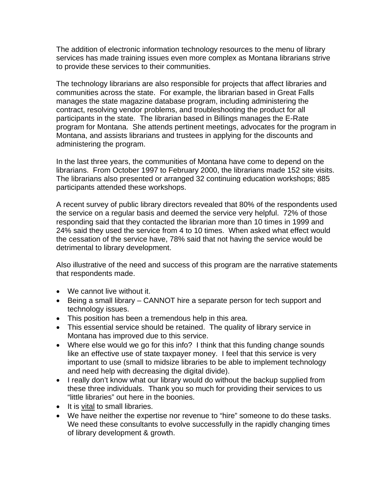The addition of electronic information technology resources to the menu of library services has made training issues even more complex as Montana librarians strive to provide these services to their communities.

The technology librarians are also responsible for projects that affect libraries and communities across the state. For example, the librarian based in Great Falls manages the state magazine database program, including administering the contract, resolving vendor problems, and troubleshooting the product for all participants in the state. The librarian based in Billings manages the E-Rate program for Montana. She attends pertinent meetings, advocates for the program in Montana, and assists librarians and trustees in applying for the discounts and administering the program.

In the last three years, the communities of Montana have come to depend on the librarians. From October 1997 to February 2000, the librarians made 152 site visits. The librarians also presented or arranged 32 continuing education workshops; 885 participants attended these workshops.

A recent survey of public library directors revealed that 80% of the respondents used the service on a regular basis and deemed the service very helpful. 72% of those responding said that they contacted the librarian more than 10 times in 1999 and 24% said they used the service from 4 to 10 times. When asked what effect would the cessation of the service have, 78% said that not having the service would be detrimental to library development.

Also illustrative of the need and success of this program are the narrative statements that respondents made.

- We cannot live without it.
- Being a small library CANNOT hire a separate person for tech support and technology issues.
- This position has been a tremendous help in this area.
- This essential service should be retained. The quality of library service in Montana has improved due to this service.
- Where else would we go for this info? I think that this funding change sounds like an effective use of state taxpayer money. I feel that this service is very important to use (small to midsize libraries to be able to implement technology and need help with decreasing the digital divide).
- I really don't know what our library would do without the backup supplied from these three individuals. Thank you so much for providing their services to us "little libraries" out here in the boonies.
- It is vital to small libraries.
- We have neither the expertise nor revenue to "hire" someone to do these tasks. We need these consultants to evolve successfully in the rapidly changing times of library development & growth.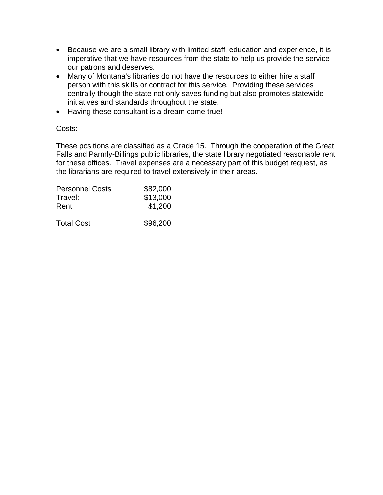- Because we are a small library with limited staff, education and experience, it is imperative that we have resources from the state to help us provide the service our patrons and deserves.
- Many of Montana's libraries do not have the resources to either hire a staff person with this skills or contract for this service. Providing these services centrally though the state not only saves funding but also promotes statewide initiatives and standards throughout the state.
- Having these consultant is a dream come true!

#### Costs:

These positions are classified as a Grade 15. Through the cooperation of the Great Falls and Parmly-Billings public libraries, the state library negotiated reasonable rent for these offices. Travel expenses are a necessary part of this budget request, as the librarians are required to travel extensively in their areas.

| <b>Personnel Costs</b> | \$82,000 |  |
|------------------------|----------|--|
| Travel:                | \$13,000 |  |
| Rent                   | \$1,200  |  |
| <b>Total Cost</b>      | \$96,200 |  |
|                        |          |  |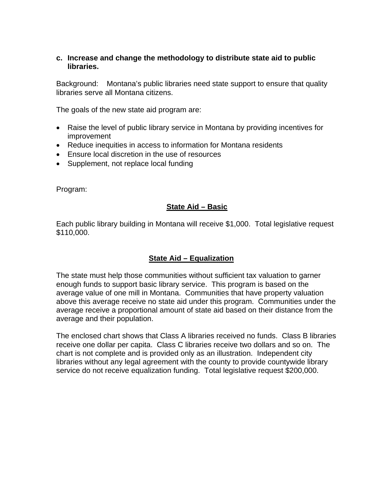### **c. Increase and change the methodology to distribute state aid to public libraries.**

Background: Montana's public libraries need state support to ensure that quality libraries serve all Montana citizens.

The goals of the new state aid program are:

- Raise the level of public library service in Montana by providing incentives for improvement
- Reduce inequities in access to information for Montana residents
- Ensure local discretion in the use of resources
- Supplement, not replace local funding

Program:

### **State Aid – Basic**

Each public library building in Montana will receive \$1,000. Total legislative request \$110,000.

# **State Aid – Equalization**

The state must help those communities without sufficient tax valuation to garner enough funds to support basic library service. This program is based on the average value of one mill in Montana. Communities that have property valuation above this average receive no state aid under this program. Communities under the average receive a proportional amount of state aid based on their distance from the average and their population.

The enclosed chart shows that Class A libraries received no funds. Class B libraries receive one dollar per capita. Class C libraries receive two dollars and so on. The chart is not complete and is provided only as an illustration. Independent city libraries without any legal agreement with the county to provide countywide library service do not receive equalization funding. Total legislative request \$200,000.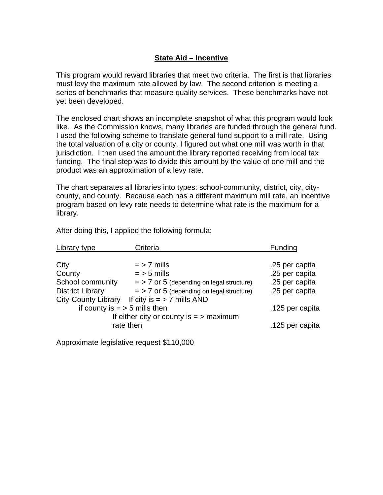## **State Aid – Incentive**

This program would reward libraries that meet two criteria. The first is that libraries must levy the maximum rate allowed by law. The second criterion is meeting a series of benchmarks that measure quality services. These benchmarks have not yet been developed.

The enclosed chart shows an incomplete snapshot of what this program would look like. As the Commission knows, many libraries are funded through the general fund. I used the following scheme to translate general fund support to a mill rate. Using the total valuation of a city or county, I figured out what one mill was worth in that jurisdiction. I then used the amount the library reported receiving from local tax funding. The final step was to divide this amount by the value of one mill and the product was an approximation of a levy rate.

The chart separates all libraries into types: school-community, district, city, citycounty, and county. Because each has a different maximum mill rate, an incentive program based on levy rate needs to determine what rate is the maximum for a library.

| Library type                              | Criteria                                    | Funding         |
|-------------------------------------------|---------------------------------------------|-----------------|
|                                           |                                             |                 |
| City                                      | $=$ > 7 mills                               | .25 per capita  |
| County                                    | $=$ > 5 mills                               | .25 per capita  |
| School community                          | $=$ > 7 or 5 (depending on legal structure) | .25 per capita  |
| <b>District Library</b>                   | $=$ > 7 or 5 (depending on legal structure) | .25 per capita  |
| <b>City-County Library</b>                | If city is $=$ > 7 mills AND                |                 |
| if county is $=$ > 5 mills then           |                                             | .125 per capita |
| If either city or county is $=$ > maximum |                                             |                 |
| rate then                                 |                                             | .125 per capita |

After doing this, I applied the following formula:

Approximate legislative request \$110,000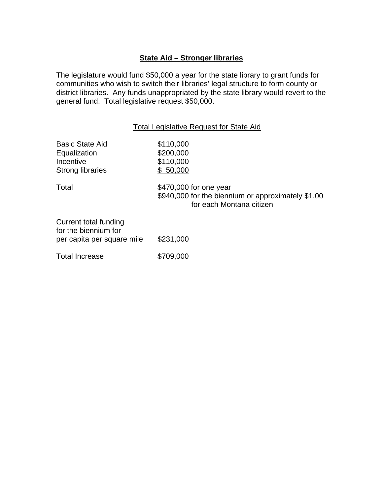# **State Aid – Stronger libraries**

The legislature would fund \$50,000 a year for the state library to grant funds for communities who wish to switch their libraries' legal structure to form county or district libraries. Any funds unappropriated by the state library would revert to the general fund. Total legislative request \$50,000.

#### Total Legislative Request for State Aid

| <b>Basic State Aid</b><br>Equalization<br>Incentive<br><b>Strong libraries</b> | \$110,000<br>\$200,000<br>\$110,000<br>\$50,000                                                          |
|--------------------------------------------------------------------------------|----------------------------------------------------------------------------------------------------------|
| Total                                                                          | \$470,000 for one year<br>\$940,000 for the biennium or approximately \$1.00<br>for each Montana citizen |
| Current total funding<br>for the biennium for<br>per capita per square mile    | \$231,000                                                                                                |
| <b>Total Increase</b>                                                          | \$709,000                                                                                                |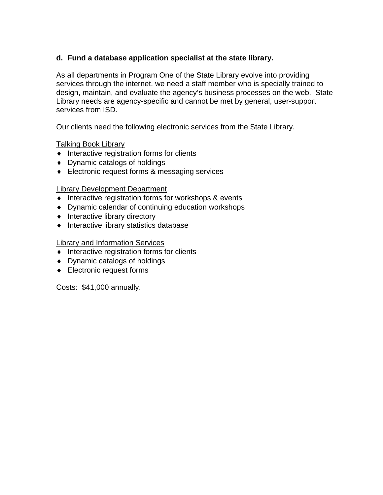# **d. Fund a database application specialist at the state library.**

As all departments in Program One of the State Library evolve into providing services through the internet, we need a staff member who is specially trained to design, maintain, and evaluate the agency's business processes on the web. State Library needs are agency-specific and cannot be met by general, user-support services from ISD.

Our clients need the following electronic services from the State Library.

Talking Book Library

- ♦ Interactive registration forms for clients
- ♦ Dynamic catalogs of holdings
- ♦ Electronic request forms & messaging services

### Library Development Department

- ♦ Interactive registration forms for workshops & events
- ♦ Dynamic calendar of continuing education workshops
- ♦ Interactive library directory
- ♦ Interactive library statistics database

#### Library and Information Services

- ♦ Interactive registration forms for clients
- ♦ Dynamic catalogs of holdings
- ♦ Electronic request forms

Costs: \$41,000 annually.